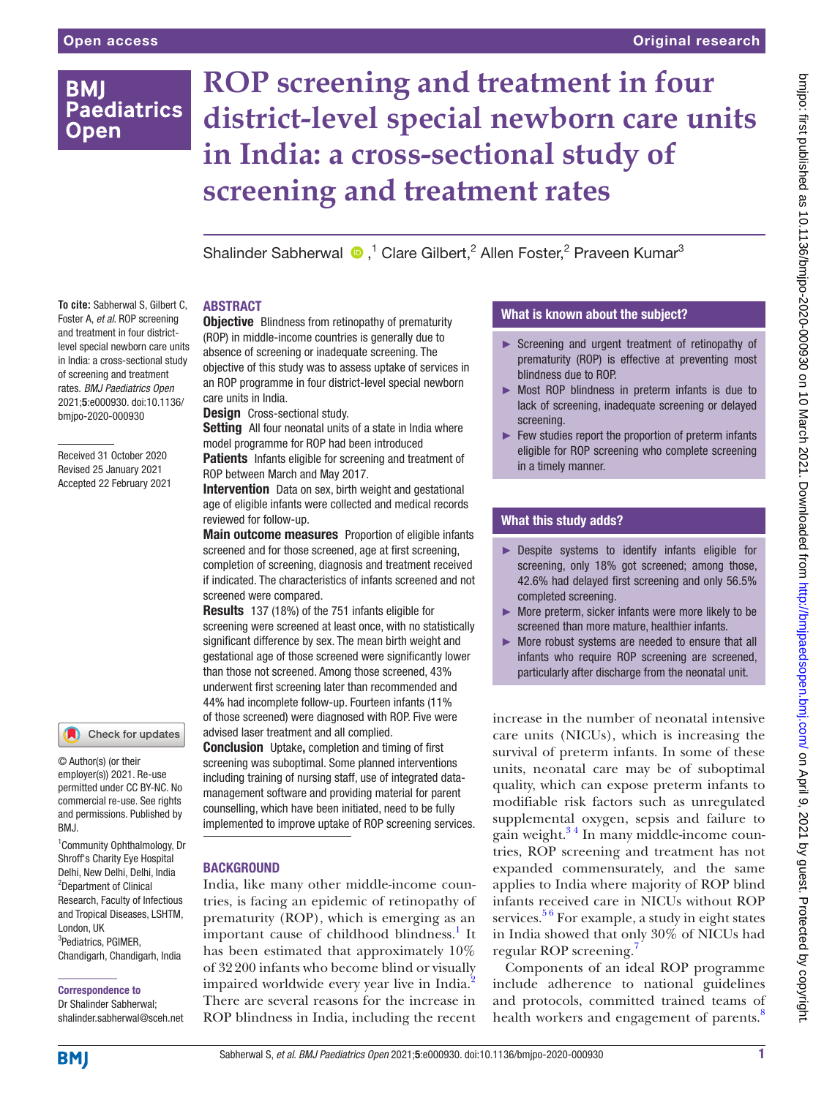## **BMI Paediatrics Open**

**ROP screening and treatment in four district-level special newborn care units in India: a cross-sectional study of screening and treatment rates**

ShalinderSabherwal  $\bullet$ ,<sup>1</sup> Clare Gilbert,<sup>2</sup> Allen Foster,<sup>2</sup> Praveen Kumar<sup>3</sup>

## ABSTRACT

**To cite:** Sabherwal S, Gilbert C, Foster A, *et al*. ROP screening and treatment in four districtlevel special newborn care units in India: a cross-sectional study of screening and treatment rates. *BMJ Paediatrics Open* 2021;5:e000930. doi:10.1136/ bmjpo-2020-000930

Received 31 October 2020 Revised 25 January 2021 Accepted 22 February 2021



© Author(s) (or their employer(s)) 2021. Re-use permitted under CC BY-NC. No commercial re-use. See rights and permissions. Published by BMJ.

1 Community Ophthalmology, Dr Shroff's Charity Eye Hospital Delhi, New Delhi, Delhi, India <sup>2</sup>Department of Clinical Research, Faculty of Infectious and Tropical Diseases, LSHTM, London, UK 3 Pediatrics, PGIMER, Chandigarh, Chandigarh, India

#### Correspondence to

Dr Shalinder Sabherwal; shalinder.sabherwal@sceh.net

**Objective** Blindness from retinopathy of prematurity (ROP) in middle-income countries is generally due to absence of screening or inadequate screening. The objective of this study was to assess uptake of services in an ROP programme in four district-level special newborn care units in India.

Design Cross-sectional study.

Setting All four neonatal units of a state in India where model programme for ROP had been introduced Patients Infants eligible for screening and treatment of ROP between March and May 2017.

Intervention Data on sex, birth weight and gestational age of eligible infants were collected and medical records reviewed for follow-up.

Main outcome measures Proportion of eligible infants screened and for those screened, age at first screening, completion of screening, diagnosis and treatment received if indicated. The characteristics of infants screened and not screened were compared.

Results 137 (18%) of the 751 infants eligible for screening were screened at least once, with no statistically significant difference by sex. The mean birth weight and gestational age of those screened were significantly lower than those not screened. Among those screened, 43% underwent first screening later than recommended and 44% had incomplete follow-up. Fourteen infants (11% of those screened) were diagnosed with ROP. Five were advised laser treatment and all complied.

Conclusion Uptake, completion and timing of first screening was suboptimal. Some planned interventions including training of nursing staff, use of integrated datamanagement software and providing material for parent counselling, which have been initiated, need to be fully implemented to improve uptake of ROP screening services.

## **BACKGROUND**

India, like many other middle-income countries, is facing an epidemic of retinopathy of prematurity (ROP), which is emerging as an important cause of childhood blindness.<sup>1</sup> It has been estimated that approximately 10% of 32200 infants who become blind or visually impaired worldwide every year live in India.<sup>2</sup> There are several reasons for the increase in ROP blindness in India, including the recent

## What is known about the subject?

- ► Screening and urgent treatment of retinopathy of prematurity (ROP) is effective at preventing most blindness due to ROP.
- ► Most ROP blindness in preterm infants is due to lack of screening, inadequate screening or delayed screening.
- $\blacktriangleright$  Few studies report the proportion of preterm infants eligible for ROP screening who complete screening in a timely manner.

## What this study adds?

- ► Despite systems to identify infants eligible for screening, only 18% got screened; among those, 42.6% had delayed first screening and only 56.5% completed screening.
- ► More preterm, sicker infants were more likely to be screened than more mature, healthier infants.
- ► More robust systems are needed to ensure that all infants who require ROP screening are screened, particularly after discharge from the neonatal unit.

increase in the number of neonatal intensive care units (NICUs), which is increasing the survival of preterm infants. In some of these units, neonatal care may be of suboptimal quality, which can expose preterm infants to modifiable risk factors such as unregulated supplemental oxygen, sepsis and failure to gain weight. $3<sup>4</sup>$  In many middle-income countries, ROP screening and treatment has not expanded commensurately, and the same applies to India where majority of ROP blind infants received care in NICUs without ROP services. $56$  For example, a study in eight states in India showed that only 30% of NICUs had regular ROP screening.[7](#page-5-2)

Components of an ideal ROP programme include adherence to national guidelines and protocols, committed trained teams of health workers and engagement of parents.<sup>[8](#page-5-3)</sup>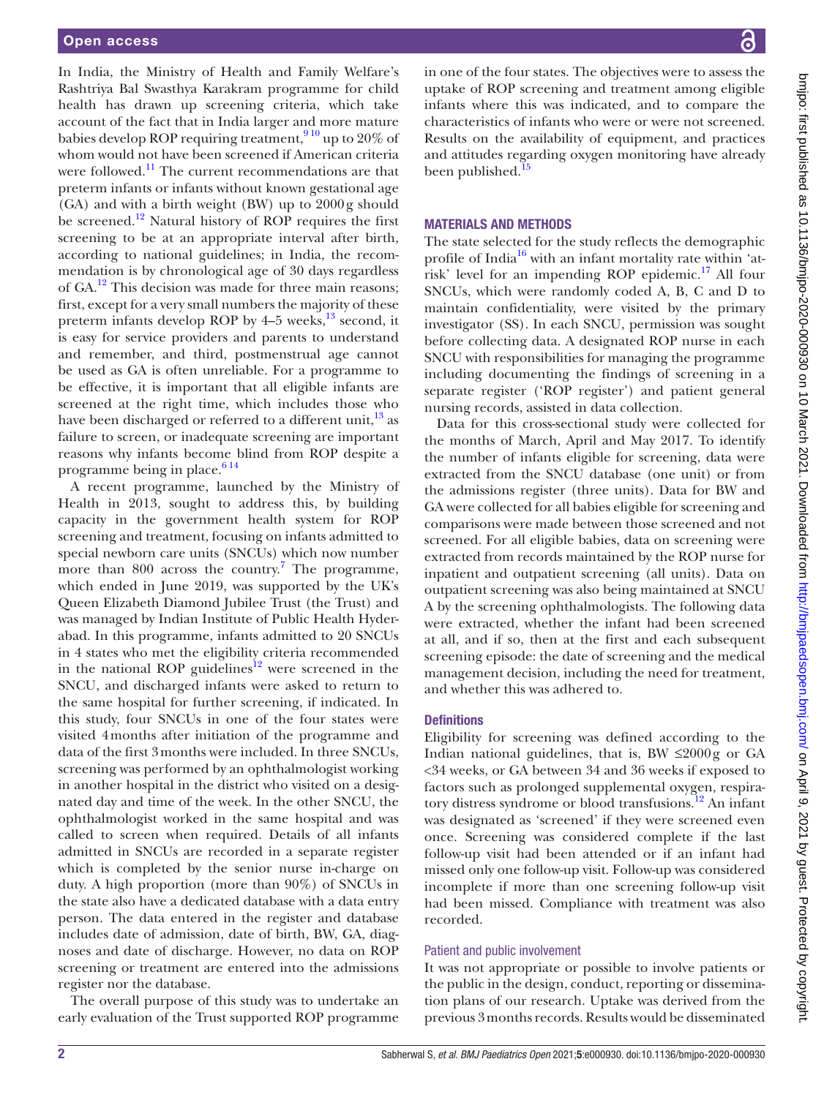In India, the Ministry of Health and Family Welfare's Rashtriya Bal Swasthya Karakram programme for child health has drawn up screening criteria, which take account of the fact that in India larger and more mature babies develop ROP requiring treatment,<sup>910</sup> up to 20% of whom would not have been screened if American criteria were followed.<sup>11</sup> The current recommendations are that preterm infants or infants without known gestational age (GA) and with a birth weight (BW) up to 2000g should be screened.<sup>12</sup> Natural history of ROP requires the first screening to be at an appropriate interval after birth, according to national guidelines; in India, the recommendation is by chronological age of 30 days regardless of GA.<sup>[12](#page-6-0)</sup> This decision was made for three main reasons; first, except for a very small numbers the majority of these preterm infants develop ROP by  $4-5$  weeks, $13$  second, it is easy for service providers and parents to understand and remember, and third, postmenstrual age cannot be used as GA is often unreliable. For a programme to be effective, it is important that all eligible infants are screened at the right time, which includes those who have been discharged or referred to a different unit, $^{13}$  as failure to screen, or inadequate screening are important reasons why infants become blind from ROP despite a programme being in place.<sup>6 14</sup>

A recent programme, launched by the Ministry of Health in 2013, sought to address this, by building capacity in the government health system for ROP screening and treatment, focusing on infants admitted to special newborn care units (SNCUs) which now number more than 800 across the country.<sup>[7](#page-5-2)</sup> The programme, which ended in June 2019, was supported by the UK's Queen Elizabeth Diamond Jubilee Trust (the Trust) and was managed by Indian Institute of Public Health Hyderabad. In this programme, infants admitted to 20 SNCUs in 4 states who met the eligibility criteria recommended in the national ROP guidelines<sup>12</sup> were screened in the SNCU, and discharged infants were asked to return to the same hospital for further screening, if indicated. In this study, four SNCUs in one of the four states were visited 4months after initiation of the programme and data of the first 3months were included. In three SNCUs, screening was performed by an ophthalmologist working in another hospital in the district who visited on a designated day and time of the week. In the other SNCU, the ophthalmologist worked in the same hospital and was called to screen when required. Details of all infants admitted in SNCUs are recorded in a separate register which is completed by the senior nurse in-charge on duty. A high proportion (more than 90%) of SNCUs in the state also have a dedicated database with a data entry person. The data entered in the register and database includes date of admission, date of birth, BW, GA, diagnoses and date of discharge. However, no data on ROP screening or treatment are entered into the admissions register nor the database.

The overall purpose of this study was to undertake an early evaluation of the Trust supported ROP programme

in one of the four states. The objectives were to assess the uptake of ROP screening and treatment among eligible infants where this was indicated, and to compare the characteristics of infants who were or were not screened. Results on the availability of equipment, and practices and attitudes regarding oxygen monitoring have already been published.<sup>[15](#page-6-2)</sup>

## MATERIALS AND METHODS

The state selected for the study reflects the demographic profile of India $16$  with an infant mortality rate within 'atrisk' level for an impending ROP epidemic.<sup>17</sup> All four SNCUs, which were randomly coded A, B, C and D to maintain confidentiality, were visited by the primary investigator (SS). In each SNCU, permission was sought before collecting data. A designated ROP nurse in each SNCU with responsibilities for managing the programme including documenting the findings of screening in a separate register ('ROP register') and patient general nursing records, assisted in data collection.

Data for this cross-sectional study were collected for the months of March, April and May 2017. To identify the number of infants eligible for screening, data were extracted from the SNCU database (one unit) or from the admissions register (three units). Data for BW and GA were collected for all babies eligible for screening and comparisons were made between those screened and not screened. For all eligible babies, data on screening were extracted from records maintained by the ROP nurse for inpatient and outpatient screening (all units). Data on outpatient screening was also being maintained at SNCU A by the screening ophthalmologists. The following data were extracted, whether the infant had been screened at all, and if so, then at the first and each subsequent screening episode: the date of screening and the medical management decision, including the need for treatment, and whether this was adhered to.

### **Definitions**

Eligibility for screening was defined according to the Indian national guidelines, that is, BW ≤2000g or GA <34 weeks, or GA between 34 and 36 weeks if exposed to factors such as prolonged supplemental oxygen, respiratory distress syndrome or blood transfusions.<sup>12</sup> An infant was designated as 'screened' if they were screened even once. Screening was considered complete if the last follow-up visit had been attended or if an infant had missed only one follow-up visit. Follow-up was considered incomplete if more than one screening follow-up visit had been missed. Compliance with treatment was also recorded.

#### Patient and public involvement

It was not appropriate or possible to involve patients or the public in the design, conduct, reporting or dissemination plans of our research. Uptake was derived from the previous 3months records. Results would be disseminated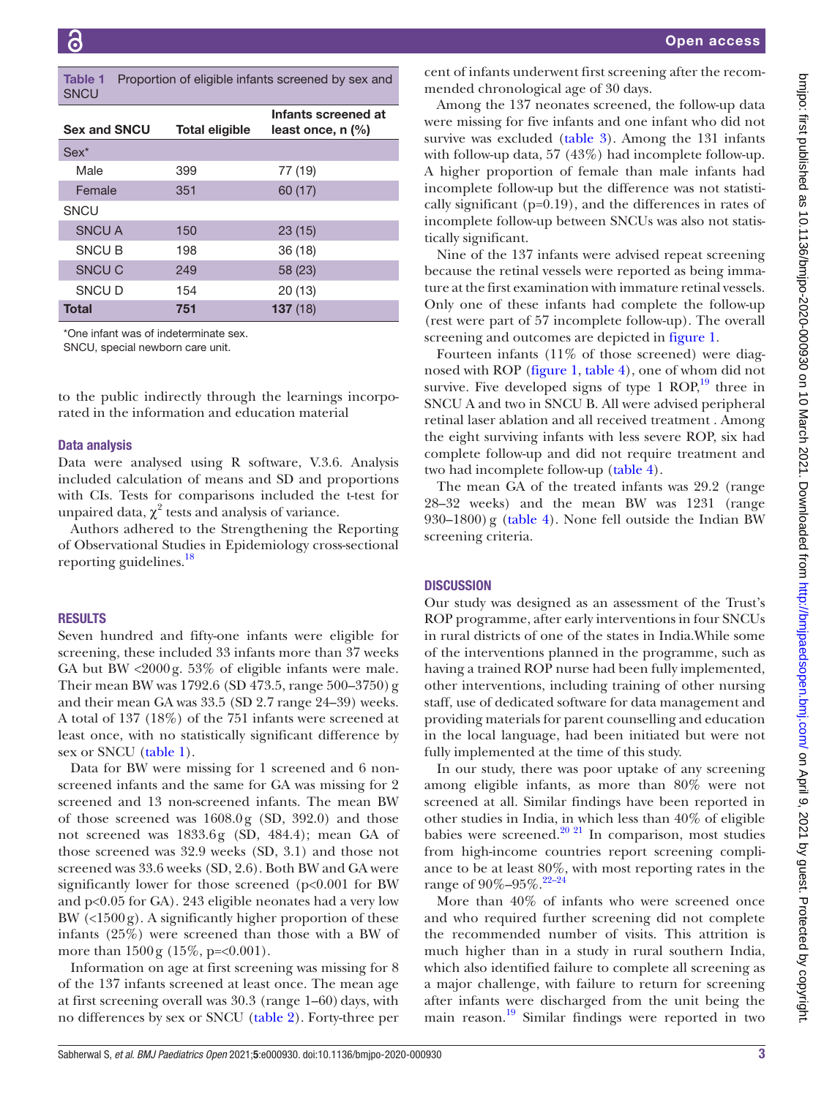Open access

<span id="page-2-0"></span>

| SNCU | <b>Table 1</b> Proportion of eligible infants screened by sex and |
|------|-------------------------------------------------------------------|
|      |                                                                   |

| <b>Sex and SNCU</b> | <b>Total eligible</b> | Infants screened at<br>least once, $n$ $\left(\% \right)$ |
|---------------------|-----------------------|-----------------------------------------------------------|
| $Sex*$              |                       |                                                           |
| Male                | 399                   | 77 (19)                                                   |
| Female              | 351                   | 60 (17)                                                   |
| <b>SNCU</b>         |                       |                                                           |
| <b>SNCU A</b>       | 150                   | 23(15)                                                    |
| <b>SNCUB</b>        | 198                   | 36(18)                                                    |
| <b>SNCU C</b>       | 249                   | 58 (23)                                                   |
| SNCU D              | 154                   | 20 (13)                                                   |
| <b>Total</b>        | 751                   | 137(18)                                                   |

\*One infant was of indeterminate sex.

SNCU, special newborn care unit.

to the public indirectly through the learnings incorporated in the information and education material

#### Data analysis

Data were analysed using R software, V.3.6. Analysis included calculation of means and SD and proportions with CIs. Tests for comparisons included the t-test for unpaired data,  $\chi^2$  tests and analysis of variance.

Authors adhered to the Strengthening the Reporting of Observational Studies in Epidemiology cross-sectional reporting guidelines.<sup>[18](#page-6-5)</sup>

#### **RESULTS**

Seven hundred and fifty-one infants were eligible for screening, these included 33 infants more than 37 weeks GA but BW <2000g. 53% of eligible infants were male. Their mean BW was 1792.6 (SD 473.5, range 500–3750)g and their mean GA was 33.5 (SD 2.7 range 24–39) weeks. A total of 137 (18%) of the 751 infants were screened at least once, with no statistically significant difference by sex or SNCU ([table](#page-2-0) 1).

Data for BW were missing for 1 screened and 6 nonscreened infants and the same for GA was missing for 2 screened and 13 non-screened infants. The mean BW of those screened was 1608.0g (SD, 392.0) and those not screened was 1833.6g (SD, 484.4); mean GA of those screened was 32.9 weeks (SD, 3.1) and those not screened was 33.6 weeks (SD, 2.6). Both BW and GA were significantly lower for those screened (p<0.001 for BW and p<0.05 for GA). 243 eligible neonates had a very low  $BW$  ( $\langle 1500g \rangle$ ). A significantly higher proportion of these infants (25%) were screened than those with a BW of more than  $1500\,\text{g}$  (15%, p=<0.001).

Information on age at first screening was missing for 8 of the 137 infants screened at least once. The mean age at first screening overall was  $30.3$  (range  $1-60$ ) days, with no differences by sex or SNCU ([table](#page-3-0) 2). Forty-three per

cent of infants underwent first screening after the recommended chronological age of 30 days.

Among the 137 neonates screened, the follow-up data were missing for five infants and one infant who did not survive was excluded [\(table](#page-3-1) 3). Among the 131 infants with follow-up data, 57 (43%) had incomplete follow-up. A higher proportion of female than male infants had incomplete follow-up but the difference was not statistically significant (p=0.19), and the differences in rates of incomplete follow-up between SNCUs was also not statistically significant.

Nine of the 137 infants were advised repeat screening because the retinal vessels were reported as being immature at the first examination with immature retinal vessels. Only one of these infants had complete the follow-up (rest were part of 57 incomplete follow-up). The overall screening and outcomes are depicted in [figure](#page-4-0) 1.

Fourteen infants (11% of those screened) were diagnosed with ROP [\(figure](#page-4-0) 1, [table](#page-5-7) 4), one of whom did not survive. Five developed signs of type 1 ROP, $^{19}$  three in SNCU A and two in SNCU B. All were advised peripheral retinal laser ablation and all received treatment . Among the eight surviving infants with less severe ROP, six had complete follow-up and did not require treatment and two had incomplete follow-up [\(table](#page-5-7) 4).

The mean GA of the treated infants was 29.2 (range 28–32 weeks) and the mean BW was 1231 (range 930–1800)g [\(table](#page-5-7) 4). None fell outside the Indian BW screening criteria.

#### **DISCUSSION**

Our study was designed as an assessment of the Trust's ROP programme, after early interventions in four SNCUs in rural districts of one of the states in India.While some of the interventions planned in the programme, such as having a trained ROP nurse had been fully implemented, other interventions, including training of other nursing staff, use of dedicated software for data management and providing materials for parent counselling and education in the local language, had been initiated but were not fully implemented at the time of this study.

In our study, there was poor uptake of any screening among eligible infants, as more than 80% were not screened at all. Similar findings have been reported in other studies in India, in which less than 40% of eligible babies were screened.<sup>20 21</sup> In comparison, most studies from high-income countries report screening compliance to be at least 80%, with most reporting rates in the range of 90%–95%.<sup>22–24</sup>

More than 40% of infants who were screened once and who required further screening did not complete the recommended number of visits. This attrition is much higher than in a study in rural southern India, which also identified failure to complete all screening as a major challenge, with failure to return for screening after infants were discharged from the unit being the main reason.<sup>19</sup> Similar findings were reported in two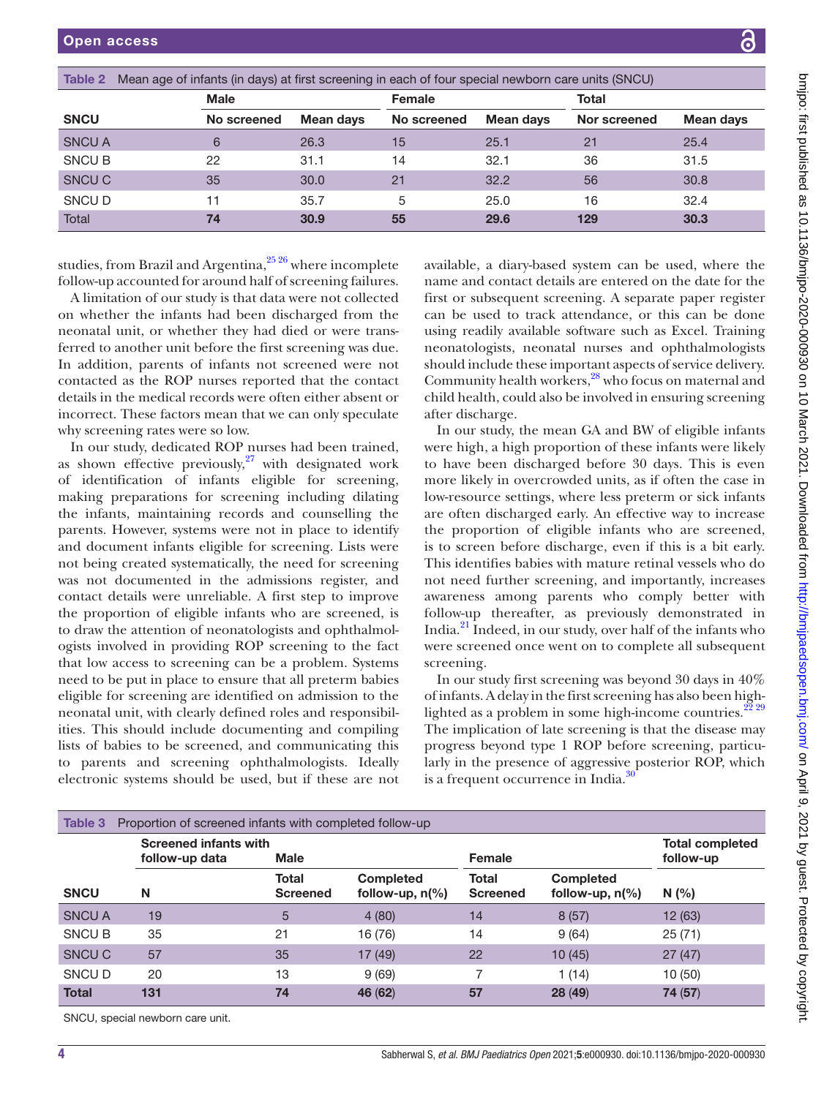<span id="page-3-0"></span>

| Mean age of infants (in days) at first screening in each of four special newborn care units (SNCU)<br>Table 2 |             |           |             |           |              |           |
|---------------------------------------------------------------------------------------------------------------|-------------|-----------|-------------|-----------|--------------|-----------|
|                                                                                                               | <b>Male</b> |           | Female      |           | Total        |           |
| <b>SNCU</b>                                                                                                   | No screened | Mean days | No screened | Mean days | Nor screened | Mean days |
| <b>SNCU A</b>                                                                                                 | 6           | 26.3      | 15          | 25.1      | 21           | 25.4      |
| <b>SNCUB</b>                                                                                                  | 22          | 31.1      | 14          | 32.1      | 36           | 31.5      |
| SNCU C                                                                                                        | 35          | 30.0      | 21          | 32.2      | 56           | 30.8      |
| <b>SNCUD</b>                                                                                                  | 11          | 35.7      | 5           | 25.0      | 16           | 32.4      |
| Total                                                                                                         | 74          | 30.9      | 55          | 29.6      | 129          | 30.3      |

studies, from Brazil and Argentina,  $25\,26$  where incomplete follow-up accounted for around half of screening failures.

A limitation of our study is that data were not collected on whether the infants had been discharged from the neonatal unit, or whether they had died or were transferred to another unit before the first screening was due. In addition, parents of infants not screened were not contacted as the ROP nurses reported that the contact details in the medical records were often either absent or incorrect. These factors mean that we can only speculate why screening rates were so low.

In our study, dedicated ROP nurses had been trained, as shown effective previously,  $27$  with designated work of identification of infants eligible for screening, making preparations for screening including dilating the infants, maintaining records and counselling the parents. However, systems were not in place to identify and document infants eligible for screening. Lists were not being created systematically, the need for screening was not documented in the admissions register, and contact details were unreliable. A first step to improve the proportion of eligible infants who are screened, is to draw the attention of neonatologists and ophthalmologists involved in providing ROP screening to the fact that low access to screening can be a problem. Systems need to be put in place to ensure that all preterm babies eligible for screening are identified on admission to the neonatal unit, with clearly defined roles and responsibilities. This should include documenting and compiling lists of babies to be screened, and communicating this to parents and screening ophthalmologists. Ideally electronic systems should be used, but if these are not

available, a diary-based system can be used, where the name and contact details are entered on the date for the first or subsequent screening. A separate paper register can be used to track attendance, or this can be done using readily available software such as Excel. Training neonatologists, neonatal nurses and ophthalmologists should include these important aspects of service delivery. Community health workers,<sup>[28](#page-6-11)</sup> who focus on maternal and child health, could also be involved in ensuring screening after discharge.

In our study, the mean GA and BW of eligible infants were high, a high proportion of these infants were likely to have been discharged before 30 days. This is even more likely in overcrowded units, as if often the case in low-resource settings, where less preterm or sick infants are often discharged early. An effective way to increase the proportion of eligible infants who are screened, is to screen before discharge, even if this is a bit early. This identifies babies with mature retinal vessels who do not need further screening, and importantly, increases awareness among parents who comply better with follow-up thereafter, as previously demonstrated in India.[21](#page-6-12) Indeed, in our study, over half of the infants who were screened once went on to complete all subsequent screening.

In our study first screening was beyond 30 days in 40% of infants. A delay in the first screening has also been high-lighted as a problem in some high-income countries.<sup>[22 29](#page-6-8)</sup> The implication of late screening is that the disease may progress beyond type 1 ROP before screening, particularly in the presence of aggressive posterior ROP, which is a frequent occurrence in India.<sup>30</sup>

<span id="page-3-1"></span>

| Proportion of screened infants with completed follow-up<br>Table 3 |                                                |                                 |                                               |                          |                                        |         |
|--------------------------------------------------------------------|------------------------------------------------|---------------------------------|-----------------------------------------------|--------------------------|----------------------------------------|---------|
|                                                                    | <b>Screened infants with</b><br>follow-up data | <b>Male</b>                     |                                               | <b>Female</b>            | <b>Total completed</b><br>follow-up    |         |
| <b>SNCU</b>                                                        | N                                              | <b>Total</b><br><b>Screened</b> | <b>Completed</b><br>follow-up, $n\frac{6}{6}$ | Total<br><b>Screened</b> | <b>Completed</b><br>follow-up, $n$ (%) | N(%)    |
| <b>SNCU A</b>                                                      | 19                                             | 5                               | 4(80)                                         | 14                       | 8(57)                                  | 12(63)  |
| <b>SNCUB</b>                                                       | 35                                             | 21                              | 16 (76)                                       | 14                       | 9(64)                                  | 25(71)  |
| SNCU C                                                             | 57                                             | 35                              | 17 (49)                                       | 22                       | 10(45)                                 | 27(47)  |
| SNCU D                                                             | 20                                             | 13                              | 9(69)                                         |                          | 1(14)                                  | 10(50)  |
| <b>Total</b>                                                       | 131                                            | 74                              | 46 (62)                                       | 57                       | 28(49)                                 | 74 (57) |

SNCU, special newborn care unit.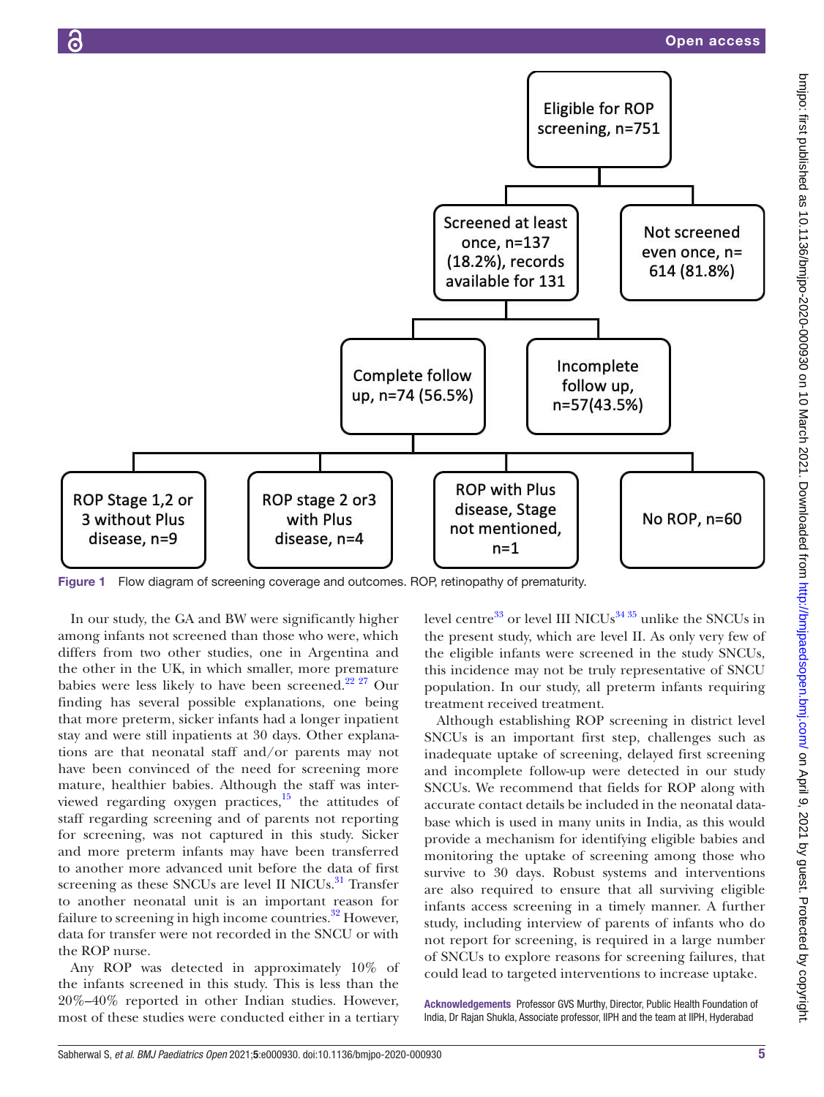

<span id="page-4-0"></span>Figure 1 Flow diagram of screening coverage and outcomes. ROP, retinopathy of prematurity.

In our study, the GA and BW were significantly higher among infants not screened than those who were, which differs from two other studies, one in Argentina and the other in the UK, in which smaller, more premature babies were less likely to have been screened.<sup>[22 27](#page-6-8)</sup> Our finding has several possible explanations, one being that more preterm, sicker infants had a longer inpatient stay and were still inpatients at 30 days. Other explanations are that neonatal staff and/or parents may not have been convinced of the need for screening more mature, healthier babies. Although the staff was interviewed regarding oxygen practices,<sup>15</sup> the attitudes of staff regarding screening and of parents not reporting for screening, was not captured in this study. Sicker and more preterm infants may have been transferred to another more advanced unit before the data of first screening as these SNCUs are level II NICUs.<sup>31</sup> Transfer to another neonatal unit is an important reason for failure to screening in high income countries. $32$  However, data for transfer were not recorded in the SNCU or with the ROP nurse.

Any ROP was detected in approximately 10% of the infants screened in this study. This is less than the 20%–40% reported in other Indian studies. However, most of these studies were conducted either in a tertiary level centre<sup>[33](#page-6-16)</sup> or level III NICUs<sup>34 35</sup> unlike the SNCUs in the present study, which are level II. As only very few of the eligible infants were screened in the study SNCUs, this incidence may not be truly representative of SNCU population. In our study, all preterm infants requiring treatment received treatment.

Although establishing ROP screening in district level SNCUs is an important first step, challenges such as inadequate uptake of screening, delayed first screening and incomplete follow-up were detected in our study SNCUs. We recommend that fields for ROP along with accurate contact details be included in the neonatal database which is used in many units in India, as this would provide a mechanism for identifying eligible babies and monitoring the uptake of screening among those who survive to 30 days. Robust systems and interventions are also required to ensure that all surviving eligible infants access screening in a timely manner. A further study, including interview of parents of infants who do not report for screening, is required in a large number of SNCUs to explore reasons for screening failures, that could lead to targeted interventions to increase uptake.

Acknowledgements Professor GVS Murthy, Director, Public Health Foundation of India, Dr Rajan Shukla, Associate professor, IIPH and the team at IIPH, Hyderabad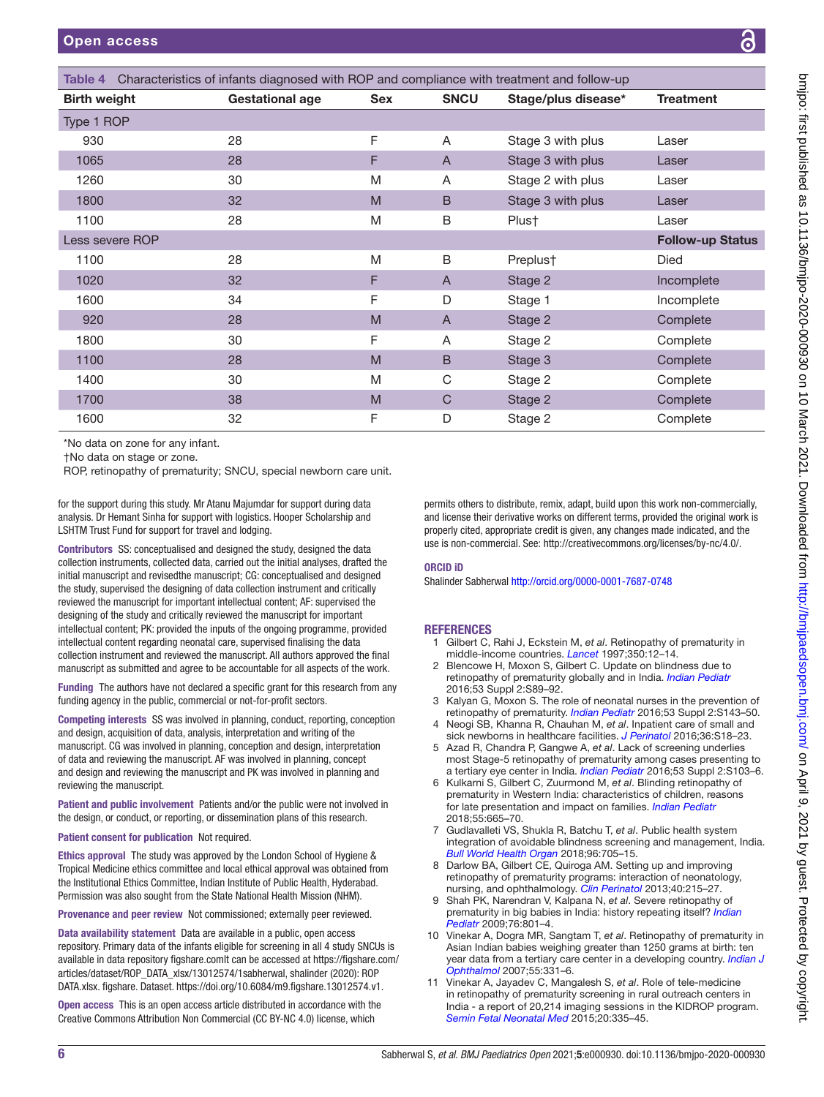<span id="page-5-7"></span>

| Characteristics of infants diagnosed with ROP and compliance with treatment and follow-up<br>Table 4 |                        |            |                |                     |                         |
|------------------------------------------------------------------------------------------------------|------------------------|------------|----------------|---------------------|-------------------------|
| <b>Birth weight</b>                                                                                  | <b>Gestational age</b> | <b>Sex</b> | <b>SNCU</b>    | Stage/plus disease* | <b>Treatment</b>        |
| Type 1 ROP                                                                                           |                        |            |                |                     |                         |
| 930                                                                                                  | 28                     | F          | A              | Stage 3 with plus   | Laser                   |
| 1065                                                                                                 | 28                     | F          | $\overline{A}$ | Stage 3 with plus   | Laser                   |
| 1260                                                                                                 | 30                     | M          | A              | Stage 2 with plus   | Laser                   |
| 1800                                                                                                 | 32                     | M          | B              | Stage 3 with plus   | Laser                   |
| 1100                                                                                                 | 28                     | M          | B              | Plust               | Laser                   |
| Less severe ROP                                                                                      |                        |            |                |                     | <b>Follow-up Status</b> |
| 1100                                                                                                 | 28                     | M          | B              | Preplus†            | <b>Died</b>             |
| 1020                                                                                                 | 32                     | F          | $\overline{A}$ | Stage 2             | Incomplete              |
| 1600                                                                                                 | 34                     | F          | D              | Stage 1             | Incomplete              |
| 920                                                                                                  | 28                     | M          | $\overline{A}$ | Stage 2             | Complete                |
| 1800                                                                                                 | 30                     | F          | A              | Stage 2             | Complete                |
| 1100                                                                                                 | 28                     | M          | B              | Stage 3             | Complete                |
| 1400                                                                                                 | 30                     | M          | C              | Stage 2             | Complete                |
| 1700                                                                                                 | 38                     | M          | C              | Stage 2             | Complete                |
| 1600                                                                                                 | 32                     | F          | D              | Stage 2             | Complete                |

\*No data on zone for any infant.

†No data on stage or zone.

ROP, retinopathy of prematurity; SNCU, special newborn care unit.

for the support during this study. Mr Atanu Majumdar for support during data analysis. Dr Hemant Sinha for support with logistics. Hooper Scholarship and LSHTM Trust Fund for support for travel and lodging.

Contributors SS: conceptualised and designed the study, designed the data collection instruments, collected data, carried out the initial analyses, drafted the initial manuscript and revisedthe manuscript; CG: conceptualised and designed the study, supervised the designing of data collection instrument and critically reviewed the manuscript for important intellectual content; AF: supervised the designing of the study and critically reviewed the manuscript for important intellectual content; PK: provided the inputs of the ongoing programme, provided intellectual content regarding neonatal care, supervised finalising the data collection instrument and reviewed the manuscript. All authors approved the final manuscript as submitted and agree to be accountable for all aspects of the work.

Funding The authors have not declared a specific grant for this research from any funding agency in the public, commercial or not-for-profit sectors.

Competing interests SS was involved in planning, conduct, reporting, conception and design, acquisition of data, analysis, interpretation and writing of the manuscript. CG was involved in planning, conception and design, interpretation of data and reviewing the manuscript. AF was involved in planning, concept and design and reviewing the manuscript and PK was involved in planning and reviewing the manuscript.

Patient and public involvement Patients and/or the public were not involved in the design, or conduct, or reporting, or dissemination plans of this research.

#### Patient consent for publication Not required.

Ethics approval The study was approved by the London School of Hygiene & Tropical Medicine ethics committee and local ethical approval was obtained from the Institutional Ethics Committee, Indian Institute of Public Health, Hyderabad. Permission was also sought from the State National Health Mission (NHM).

Provenance and peer review Not commissioned; externally peer reviewed.

Data availability statement Data are available in a public, open access repository. Primary data of the infants eligible for screening in all 4 study SNCUs is available in data repository figshare.comIt can be accessed at [https://figshare.com/](https://figshare.com/articles/dataset/ROP_DATA_xlsx/13012574/1sabherwal) [articles/dataset/ROP\\_DATA\\_xlsx/13012574/1sabherwal](https://figshare.com/articles/dataset/ROP_DATA_xlsx/13012574/1sabherwal), shalinder (2020): ROP DATA.xlsx. figshare. Dataset. [https://doi.org/10.6084/m9.figshare.13012574.v1.](https://doi.org/10.6084/m9.figshare.13012574.v1)

Open access This is an open access article distributed in accordance with the Creative Commons Attribution Non Commercial (CC BY-NC 4.0) license, which

permits others to distribute, remix, adapt, build upon this work non-commercially, and license their derivative works on different terms, provided the original work is properly cited, appropriate credit is given, any changes made indicated, and the use is non-commercial. See:<http://creativecommons.org/licenses/by-nc/4.0/>.

#### ORCID iD

Shalinder Sabherwal <http://orcid.org/0000-0001-7687-0748>

#### **REFERENCES**

- 1 Gilbert C, Rahi J, Eckstein M, *et al*. Retinopathy of prematurity in middle-income countries. *[Lancet](http://dx.doi.org/10.1016/S0140-6736(97)01107-0)* 1997;350:12–14.
- 2 Blencowe H, Moxon S, Gilbert C. Update on blindness due to retinopathy of prematurity globally and in India. *[Indian Pediatr](http://www.ncbi.nlm.nih.gov/pubmed/27915313)* 2016;53 Suppl 2:S89–92.
- <span id="page-5-0"></span>3 Kalyan G, Moxon S. The role of neonatal nurses in the prevention of retinopathy of prematurity. *[Indian Pediatr](http://www.ncbi.nlm.nih.gov/pubmed/27915323)* 2016;53 Suppl 2:S143–50.
- 4 Neogi SB, Khanna R, Chauhan M, *et al*. Inpatient care of small and sick newborns in healthcare facilities. *[J Perinatol](http://dx.doi.org/10.1038/jp.2016.186)* 2016;36:S18–23.
- <span id="page-5-1"></span>5 Azad R, Chandra P, Gangwe A, *et al*. Lack of screening underlies most Stage-5 retinopathy of prematurity among cases presenting to a tertiary eye center in India. *[Indian Pediatr](http://www.ncbi.nlm.nih.gov/pubmed/27915316)* 2016;53 Suppl 2:S103–6.
- <span id="page-5-6"></span>6 Kulkarni S, Gilbert C, Zuurmond M, *et al*. Blinding retinopathy of prematurity in Western India: characteristics of children, reasons for late presentation and impact on families. *[Indian Pediatr](http://dx.doi.org/10.1007/s13312-018-1355-8)* 2018;55:665–70.
- <span id="page-5-2"></span>7 Gudlavalleti VS, Shukla R, Batchu T, *et al*. Public health system integration of avoidable blindness screening and management, India. *[Bull World Health Organ](http://dx.doi.org/10.2471/BLT.18.212167)* 2018;96:705–15.
- <span id="page-5-3"></span>8 Darlow BA, Gilbert CE, Quiroga AM. Setting up and improving retinopathy of prematurity programs: interaction of neonatology, nursing, and ophthalmology. *[Clin Perinatol](http://dx.doi.org/10.1016/j.clp.2013.02.006)* 2013;40:215–27.
- <span id="page-5-4"></span>9 Shah PK, Narendran V, Kalpana N, *et al*. Severe retinopathy of prematurity in big babies in India: history repeating itself? *[Indian](http://dx.doi.org/10.1007/s12098-009-0175-1)  [Pediatr](http://dx.doi.org/10.1007/s12098-009-0175-1)* 2009;76:801–4.
- 10 Vinekar A, Dogra MR, Sangtam T, *et al*. Retinopathy of prematurity in Asian Indian babies weighing greater than 1250 grams at birth: ten year data from a tertiary care center in a developing country. *[Indian J](http://dx.doi.org/10.4103/0301-4738.33817)  [Ophthalmol](http://dx.doi.org/10.4103/0301-4738.33817)* 2007;55:331–6.
- <span id="page-5-5"></span>11 Vinekar A, Jayadev C, Mangalesh S, *et al*. Role of tele-medicine in retinopathy of prematurity screening in rural outreach centers in India - a report of 20,214 imaging sessions in the KIDROP program. *[Semin Fetal Neonatal Med](http://dx.doi.org/10.1016/j.siny.2015.05.002)* 2015;20:335–45.